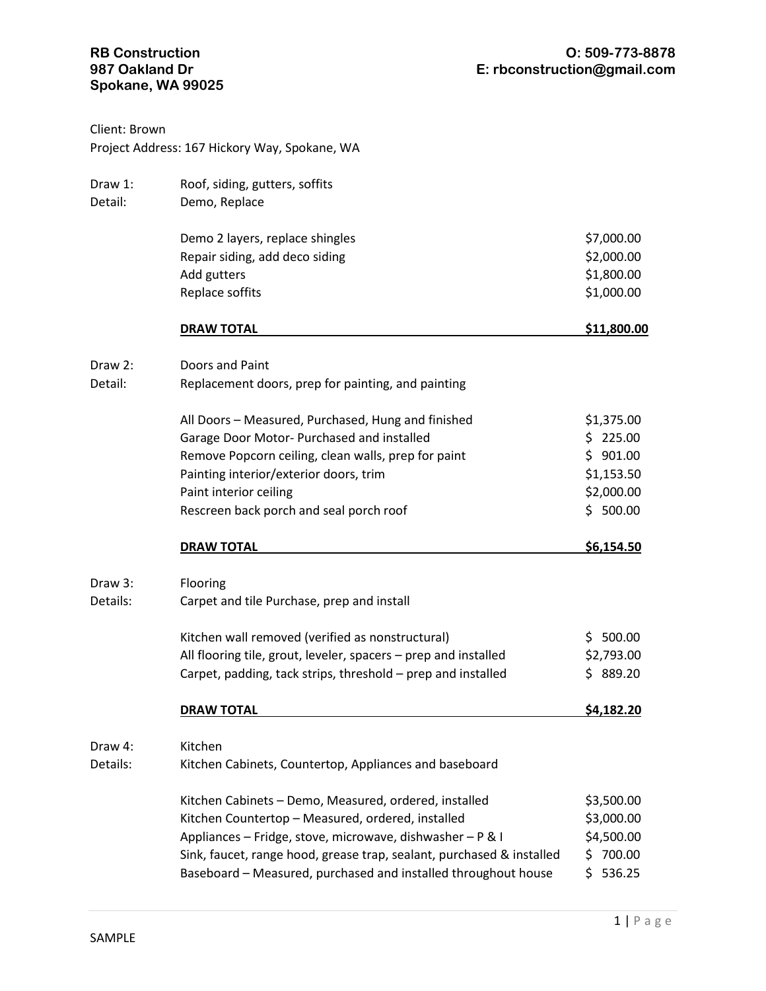## **Spokane, WA 99025**

| Client: Brown      | Project Address: 167 Hickory Way, Spokane, WA                         |              |
|--------------------|-----------------------------------------------------------------------|--------------|
| Draw 1:<br>Detail: | Roof, siding, gutters, soffits<br>Demo, Replace                       |              |
|                    | Demo 2 layers, replace shingles                                       | \$7,000.00   |
|                    | Repair siding, add deco siding                                        | \$2,000.00   |
|                    | Add gutters                                                           | \$1,800.00   |
|                    | Replace soffits                                                       | \$1,000.00   |
|                    | <b>DRAW TOTAL</b>                                                     | \$11,800.00  |
| Draw 2:            | Doors and Paint                                                       |              |
| Detail:            | Replacement doors, prep for painting, and painting                    |              |
|                    | All Doors - Measured, Purchased, Hung and finished                    | \$1,375.00   |
|                    | Garage Door Motor- Purchased and installed                            | \$225.00     |
|                    | Remove Popcorn ceiling, clean walls, prep for paint                   | \$901.00     |
|                    | Painting interior/exterior doors, trim                                | \$1,153.50   |
|                    | Paint interior ceiling                                                | \$2,000.00   |
|                    | Rescreen back porch and seal porch roof                               | \$500.00     |
|                    | <b>DRAW TOTAL</b>                                                     | \$6,154.50   |
| Draw 3:            | Flooring                                                              |              |
| Details:           | Carpet and tile Purchase, prep and install                            |              |
|                    | Kitchen wall removed (verified as nonstructural)                      | \$500.00     |
|                    | All flooring tile, grout, leveler, spacers - prep and installed       | \$2,793.00   |
|                    | Carpet, padding, tack strips, threshold - prep and installed          | \$<br>889.20 |
|                    | <b>DRAW TOTAL</b>                                                     | \$4,182.20   |
| Draw 4:            | Kitchen                                                               |              |
| Details:           | Kitchen Cabinets, Countertop, Appliances and baseboard                |              |
|                    | Kitchen Cabinets - Demo, Measured, ordered, installed                 | \$3,500.00   |
|                    | Kitchen Countertop - Measured, ordered, installed                     | \$3,000.00   |
|                    | Appliances - Fridge, stove, microwave, dishwasher - P & I             | \$4,500.00   |
|                    | Sink, faucet, range hood, grease trap, sealant, purchased & installed | \$700.00     |
|                    | Baseboard - Measured, purchased and installed throughout house        | \$536.25     |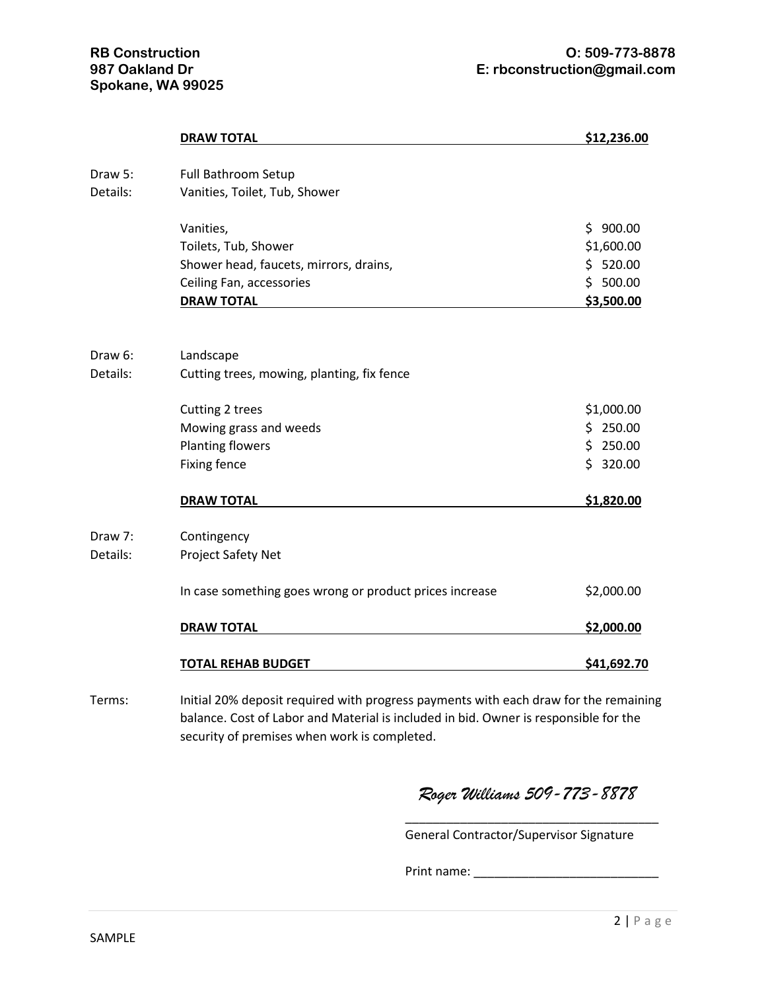| <b>DRAW TOTAL</b>                                       | \$12,236.00         |
|---------------------------------------------------------|---------------------|
|                                                         |                     |
| Vanities, Toilet, Tub, Shower                           |                     |
| Vanities,                                               | \$900.00            |
| Toilets, Tub, Shower                                    | \$1,600.00          |
| Shower head, faucets, mirrors, drains,                  | \$520.00            |
| Ceiling Fan, accessories                                | \$500.00            |
| <b>DRAW TOTAL</b>                                       | \$3,500.00          |
| Landscape                                               |                     |
| Cutting trees, mowing, planting, fix fence              |                     |
| Cutting 2 trees                                         | \$1,000.00          |
| Mowing grass and weeds                                  | \$250.00            |
| <b>Planting flowers</b>                                 | \$250.00            |
| <b>Fixing fence</b>                                     | \$320.00            |
| <b>DRAW TOTAL</b>                                       | \$1,820.00          |
| Contingency                                             |                     |
| Project Safety Net                                      |                     |
| In case something goes wrong or product prices increase | \$2,000.00          |
| <b>DRAW TOTAL</b>                                       | \$2,000.00          |
| <b>TOTAL REHAB BUDGET</b>                               | \$41,692.70         |
|                                                         | Full Bathroom Setup |

Terms: Initial 20% deposit required with progress payments with each draw for the remaining balance. Cost of Labor and Material is included in bid. Owner is responsible for the security of premises when work is completed.

*Roger Williams 509-773-8878*

\_\_\_\_\_\_\_\_\_\_\_\_\_\_\_\_\_\_\_\_\_\_\_\_\_\_\_\_\_\_\_\_\_\_\_\_\_

General Contractor/Supervisor Signature

Print name: \_\_\_\_\_\_\_\_\_\_\_\_\_\_\_\_\_\_\_\_\_\_\_\_\_\_\_